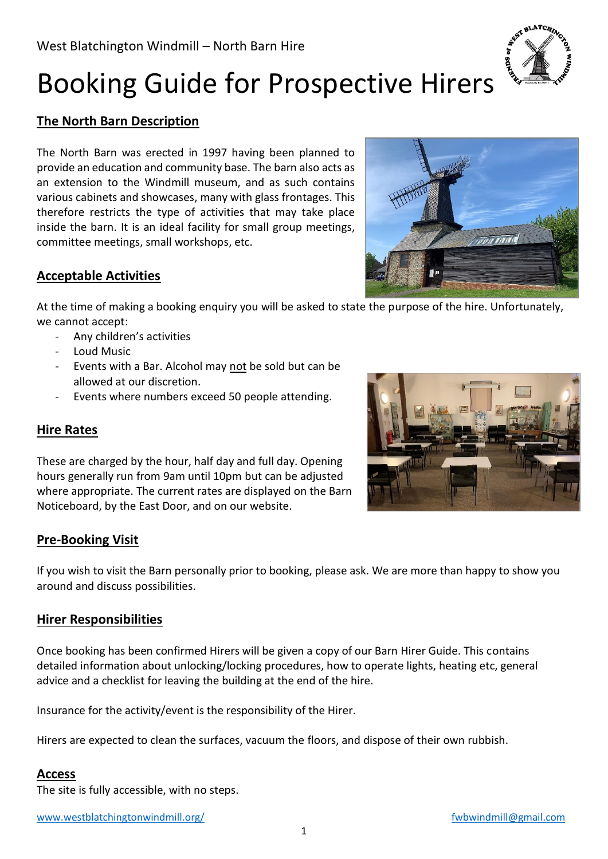

# Booking Guide for Prospective Hirers

# **The North Barn Description**

The North Barn was erected in 1997 having been planned to provide an education and community base. The barn also acts as an extension to the Windmill museum, and as such contains various cabinets and showcases, many with glass frontages. This therefore restricts the type of activities that may take place inside the barn. It is an ideal facility for small group meetings, committee meetings, small workshops, etc.

# **Acceptable Activities**

At the time of making a booking enquiry you will be asked to state the purpose of the hire. Unfortunately, we cannot accept:

- Any children's activities
- Loud Music
- Events with a Bar. Alcohol may not be sold but can be allowed at our discretion.
- Events where numbers exceed 50 people attending.

#### **Hire Rates**

These are charged by the hour, half day and full day. Opening hours generally run from 9am until 10pm but can be adjusted where appropriate. The current rates are displayed on the Barn Noticeboard, by the East Door, and on our website.

#### **Pre-Booking Visit**

If you wish to visit the Barn personally prior to booking, please ask. We are more than happy to show you around and discuss possibilities.

#### **Hirer Responsibilities**

Once booking has been confirmed Hirers will be given a copy of our Barn Hirer Guide. This contains detailed information about unlocking/locking procedures, how to operate lights, heating etc, general advice and a checklist for leaving the building at the end of the hire.

Insurance for the activity/event is the responsibility of the Hirer.

Hirers are expected to clean the surfaces, vacuum the floors, and dispose of their own rubbish.

#### **Access**

The site is fully accessible, with no steps.